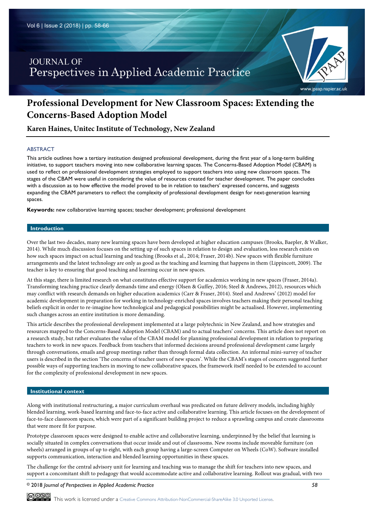# **JOURNAL OF** Perspectives in Applied Academic Practice



# www.jpaap.napier.ac.uk

# **Professional Development for New Classroom Spaces: Extending the Concerns-Based Adoption Model**

**Karen Haines, Unitec Institute of Technology, New Zealand**

# ABSTRACT

This article outlines how a tertiary institution designed professional development, during the first year of a long-term building initiative, to support teachers moving into new collaborative learning spaces. The Concerns-Based Adoption Model (CBAM) is used to reflect on professional development strategies employed to support teachers into using new classroom spaces. The stages of the CBAM were useful in considering the value of resources created for teacher development. The paper concludes with a discussion as to how effective the model proved to be in relation to teachers' expressed concerns, and suggests expanding the CBAM parameters to reflect the complexity of professional development design for next-generation learning spaces.

**Keywords:** new collaborative learning spaces; teacher development; professional development

# **Introduction**

Over the last two decades, many new learning spaces have been developed at higher education campuses (Brooks, Baepler, & Walker, 2014). While much discussion focuses on the setting up of such spaces in relation to design and evaluation, less research exists on how such spaces impact on actual learning and teaching (Brooks et al., 2014; Fraser, 2014b). New spaces with flexible furniture arrangements and the latest technology are only as good as the teaching and learning that happens in them (Lippincott, 2009). The teacher is key to ensuring that good teaching and learning occur in new spaces.

At this stage, there is limited research on what constitutes effective support for academics working in new spaces (Fraser, 2014a). Transforming teaching practice clearly demands time and energy (Olsen & Guffey, 2016; Steel & Andrews, 2012), resources which may conflict with research demands on higher education academics (Carr & Fraser, 2014). Steel and Andrews' (2012) model for academic development in preparation for working in technology-enriched spaces involves teachers making their personal teaching beliefs explicit in order to re-imagine how technological and pedagogical possibilities might be actualised. However, implementing such changes across an entire institution is more demanding.

This article describes the professional development implemented at a large polytechnic in New Zealand, and how strategies and resources mapped to the Concerns-Based Adoption Model (CBAM) and to actual teachers' concerns. This article does not report on a research study, but rather evaluates the value of the CBAM model for planning professional development in relation to preparing teachers to work in new spaces. Feedback from teachers that informed decisions around professional development came largely through conversations, emails and group meetings rather than through formal data collection. An informal mini-survey of teacher users is described in the section 'The concerns of teacher users of new spaces'. While the CBAM's stages of concern suggested further possible ways of supporting teachers in moving to new collaborative spaces, the framework itself needed to be extended to account for the complexity of professional development in new spaces.

## **Institutional context**

Along with institutional restructuring, a major curriculum overhaul was predicated on future delivery models, including highly blended learning, work-based learning and face-to-face active and collaborative learning. This article focuses on the development of face-to-face classroom spaces, which were part of a significant building project to reduce a sprawling campus and create classrooms that were more fit for purpose.

Prototype classroom spaces were designed to enable active and collaborative learning, underpinned by the belief that learning is socially situated in complex conversations that occur inside and out of classrooms. New rooms include moveable furniture (on wheels) arranged in groups of up to eight, with each group having a large-screen Computer on Wheels (CoW). Software installed supports communication, interaction and blended learning opportunities in these spaces.

The challenge for the central advisory unit for learning and teaching was to manage the shift for teachers into new spaces, and support a concomitant shift to pedagogy that would accommodate active and collaborative learning. Rollout was gradual, with two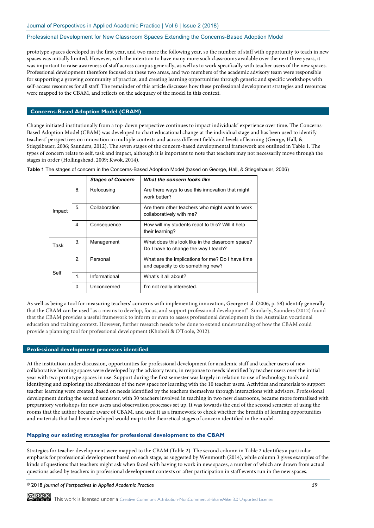prototype spaces developed in the first year, and two more the following year, so the number of staff with opportunity to teach in new spaces was initially limited. However, with the intention to have many more such classrooms available over the next three years, it was important to raise awareness of staff across campus generally, as well as to work specifically with teacher users of the new spaces. Professional development therefore focused on these two areas, and two members of the academic advisory team were responsible for supporting a growing community of practice, and creating learning opportunities through generic and specific workshops with self-access resources for all staff. The remainder of this article discusses how these professional development strategies and resources were mapped to the CBAM, and reflects on the adequacy of the model in this context.

# **Concerns-Based Adoption Model (CBAM)**

Change initiated institutionally from a top-down perspective continues to impact individuals' experience over time. The Concerns-Based Adoption Model (CBAM) was developed to chart educational change at the individual stage and has been used to identify teachers' perspectives on innovation in multiple contexts and across different fields and levels of learning (George, Hall, & Stiegelbauer, 2006; Saunders, 2012). The seven stages of the concern-based developmental framework are outlined in Table 1. The types of concern relate to self, task and impact, although it is important to note that teachers may not necessarily move through the stages in order (Hollingshead, 2009; Kwok, 2014).

|        |    | <b>Stages of Concern</b> | What the concern looks like                                                              |
|--------|----|--------------------------|------------------------------------------------------------------------------------------|
| Impact | 6. | Refocusing               | Are there ways to use this innovation that might<br>work better?                         |
|        | 5. | Collaboration            | Are there other teachers who might want to work<br>collaboratively with me?              |
|        | 4. | Consequence              | How will my students react to this? Will it help<br>their learning?                      |
| Task   | 3. | Management               | What does this look like in the classroom space?<br>Do I have to change the way I teach? |
|        | 2. | Personal                 | What are the implications for me? Do I have time<br>and capacity to do something new?    |
| Self   | 1. | Informational            | What's it all about?                                                                     |
|        | 0. | Unconcerned              | I'm not really interested.                                                               |

**Table 1** The stages of concern in the Concerns-Based Adoption Model (based on George, Hall, & Stiegelbauer, 2006)

As well as being a tool for measuring teachers' concerns with implementing innovation, George et al. (2006, p. 58) identify generally that the CBAM can be used "as a means to develop, focus, and support professional development". Similarly, Saunders (2012) found that the CBAM provides a useful framework to inform or even to assess professional development in the Australian vocational education and training context. However, further research needs to be done to extend understanding of how the CBAM could provide a planning tool for professional development (Khoboli & O'Toole, 2012).

# **Professional development processes identified**

At the institution under discussion, opportunities for professional development for academic staff and teacher users of new collaborative learning spaces were developed by the advisory team, in response to needs identified by teacher users over the initial year with two prototype spaces in use. Support during the first semester was largely in relation to use of technology tools and identifying and exploring the affordances of the new space for learning with the 10 teacher users. Activities and materials to support teacher learning were created, based on needs identified by the teachers themselves through interactions with advisors. Professional development during the second semester, with 30 teachers involved in teaching in two new classrooms, became more formalised with preparatory workshops for new users and observation processes set up. It was towards the end of the second semester of using the rooms that the author became aware of CBAM, and used it as a framework to check whether the breadth of learning opportunities and materials that had been developed would map to the theoretical stages of concern identified in the model.

#### **Mapping our existing strategies for professional development to the CBAM**

Strategies for teacher development were mapped to the CBAM (Table 2). The second column in Table 2 identifies a particular emphasis for professional development based on each stage, as suggested by Wenmouth (2014), while column 3 gives examples of the kinds of questions that teachers might ask when faced with having to work in new spaces, a number of which are drawn from actual questions asked by teachers in professional development contexts or after participation in staff events run in the new spaces.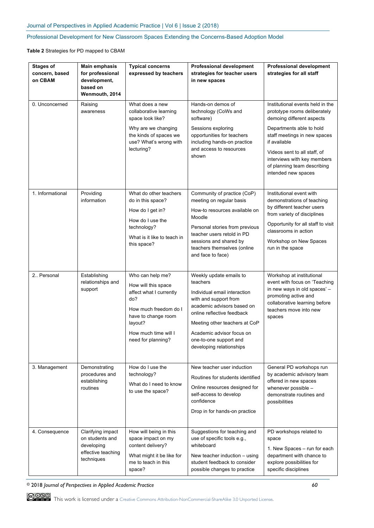**Table 2** Strategies for PD mapped to CBAM

| <b>Stages of</b><br>concern, based<br>on CBAM | Main emphasis<br>for professional<br>development,<br>based on<br>Wenmouth, 2014        | <b>Typical concerns</b><br>expressed by teachers                                                                                                                                   | <b>Professional development</b><br>strategies for teacher users<br>in new spaces                                                                                                                                                                                             | <b>Professional development</b><br>strategies for all staff                                                                                                                                                                                                                                    |
|-----------------------------------------------|----------------------------------------------------------------------------------------|------------------------------------------------------------------------------------------------------------------------------------------------------------------------------------|------------------------------------------------------------------------------------------------------------------------------------------------------------------------------------------------------------------------------------------------------------------------------|------------------------------------------------------------------------------------------------------------------------------------------------------------------------------------------------------------------------------------------------------------------------------------------------|
| 0. Unconcerned                                | Raising<br>awareness                                                                   | What does a new<br>collaborative learning<br>space look like?<br>Why are we changing<br>the kinds of spaces we<br>use? What's wrong with<br>lecturing?                             | Hands-on demos of<br>technology (CoWs and<br>software)<br>Sessions exploring<br>opportunities for teachers<br>including hands-on practice<br>and access to resources<br>shown                                                                                                | Institutional events held in the<br>prototype rooms deliberately<br>demoing different aspects<br>Departments able to hold<br>staff meetings in new spaces<br>if available<br>Videos sent to all staff, of<br>interviews with key members<br>of planning team describing<br>intended new spaces |
| 1. Informational                              | Providing<br>information                                                               | What do other teachers<br>do in this space?<br>How do I get in?<br>How do I use the<br>technology?<br>What is it like to teach in<br>this space?                                   | Community of practice (CoP)<br>meeting on regular basis<br>How-to resources available on<br>Moodle<br>Personal stories from previous<br>teacher users retold in PD<br>sessions and shared by<br>teachers themselves (online<br>and face to face)                             | Institutional event with<br>demonstrations of teaching<br>by different teacher users<br>from variety of disciplines<br>Opportunity for all staff to visit<br>classrooms in action<br>Workshop on New Spaces<br>run in the space                                                                |
| 2. Personal                                   | Establishing<br>relationships and<br>support                                           | Who can help me?<br>How will this space<br>affect what I currently<br>do?<br>How much freedom do I<br>have to change room<br>layout?<br>How much time will I<br>need for planning? | Weekly update emails to<br>teachers<br>Individual email interaction<br>with and support from<br>academic advisors based on<br>online reflective feedback<br>Meeting other teachers at CoP<br>Academic advisor focus on<br>one-to-one support and<br>developing relationships | Workshop at institutional<br>event with focus on 'Teaching<br>in new ways in old spaces' -<br>promoting active and<br>collaborative learning before<br>teachers move into new<br>spaces                                                                                                        |
| 3. Management                                 | Demonstrating<br>procedures and<br>establishing<br>routines                            | How do I use the<br>technology?<br>What do I need to know<br>to use the space?                                                                                                     | New teacher user induction<br>Routines for students identified<br>Online resources designed for<br>self-access to develop<br>confidence<br>Drop in for hands-on practice                                                                                                     | General PD workshops run<br>by academic advisory team<br>offered in new spaces<br>whenever possible -<br>demonstrate routines and<br>possibilities                                                                                                                                             |
| 4. Consequence                                | Clarifying impact<br>on students and<br>developing<br>effective teaching<br>techniques | How will being in this<br>space impact on my<br>content delivery?<br>What might it be like for<br>me to teach in this<br>space?                                                    | Suggestions for teaching and<br>use of specific tools e.g.,<br>whiteboard<br>New teacher induction - using<br>student feedback to consider<br>possible changes to practice                                                                                                   | PD workshops related to<br>space<br>1. New Spaces - run for each<br>department with chance to<br>explore possibilities for<br>specific disciplines                                                                                                                                             |

© 2018 *Journal of Perspectives in Applied Academic Practice 60*

COOO This work is licensed under a Creative Commons Attribution-NonCommercial-ShareAlike 3.0 Unported License.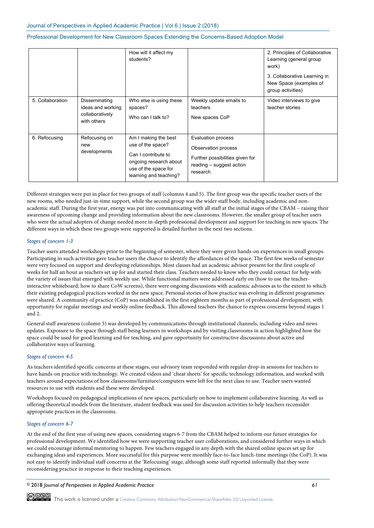|                  |                                                                      | How will it affect my<br>students?                                                                                                           |                                                                                                                             | 2. Principles of Collaborative<br>Learning (general group<br>work)          |
|------------------|----------------------------------------------------------------------|----------------------------------------------------------------------------------------------------------------------------------------------|-----------------------------------------------------------------------------------------------------------------------------|-----------------------------------------------------------------------------|
|                  |                                                                      |                                                                                                                                              |                                                                                                                             | 3. Collaborative Learning in<br>New Space (examples of<br>group activities) |
| 5. Collaboration | Disseminating<br>ideas and working<br>collaboratively<br>with others | Who else is using these<br>spaces?<br>Who can I talk to?                                                                                     | Weekly update emails to<br>teachers<br>New spaces CoP                                                                       | Video interviews to give<br>teacher stories                                 |
| 6. Refocusing    | Refocusing on<br>new<br>developments                                 | Am I making the best<br>use of the space?<br>Can I contribute to<br>ongoing research about<br>use of the space for<br>learning and teaching? | <b>Evaluation process</b><br>Observation process<br>Further possibilities given for<br>reading - suggest action<br>research |                                                                             |

Different strategies were put in place for two groups of staff (columns 4 and 5). The first group was the specific teacher users of the new rooms, who needed just-in-time support, while the second group was the wider staff body, including academic and nonacademic staff. During the first year, energy was put into communicating with all staff at the initial stages of the CBAM – raising their awareness of upcoming change and providing information about the new classrooms. However, the smaller group of teacher users who were the actual adopters of change needed more in-depth professional development and support for teaching in new spaces. The different ways in which these two groups were supported is detailed further in the next two sections.

# *Stages of concern 1-3*

Teacher users attended workshops prior to the beginning of semester, where they were given hands-on experiences in small groups. Participating in such activities gave teacher users the chance to identify the affordances of the space. The first few weeks of semester were very focused on support and developing relationships. Most classes had an academic advisor present for the first couple of weeks for half an hour as teachers set up for and started their class. Teachers needed to know who they could contact for help with the variety of issues that emerged with weekly use. While functional matters were addressed early on (how to use the teacherinteractive whiteboard; how to share CoW screens), there were ongoing discussions with academic advisors as to the extent to which their existing pedagogical practices worked in the new space. Personal stories of how practice was evolving in different programmes were shared. A community of practice (CoP) was established in the first eighteen months as part of professional development, with opportunity for regular meetings and weekly online feedback. This allowed teachers the chance to express concerns beyond stages 1 and 2.

General staff awareness (column 5) was developed by communications through institutional channels, including video and news updates. Exposure to the space through staff being learners in workshops and by visiting classrooms in action highlighted how the space could be used for good learning and for teaching, and gave opportunity for constructive discussions about active and collaborative ways of learning.

# *Stages of concern 4-5*

As teachers identified specific concerns at these stages, our advisory team responded with regular drop-in sessions for teachers to have hands-on practice with technology. We created videos and 'cheat sheets' for specific technology information, and worked with teachers around expectations of how classrooms/furniture/computers were left for the next class to use. Teacher users wanted resources to use with students and these were developed.

Workshops focused on pedagogical implications of new spaces, particularly on how to implement collaborative learning. As well as offering theoretical models from the literature, student feedback was used for discussion activities to help teachers reconsider appropriate practices in the classrooms.

# *Stages of concern 6-7*

At the end of the first year of using new spaces, considering stages 6-7 from the CBAM helped to inform our future strategies for professional development. We identified how we were supporting teacher user collaborations, and considered further ways in which we could encourage informal mentoring to happen. Few teachers engaged in any depth with the shared online spaces set up for exchanging ideas and experiences. More successful for this purpose were monthly face-to-face lunch-time meetings (the CoP). It was not easy to identify individual staff concerns at the 'Refocusing' stage, although some staff reported informally that they were reconsidering practice in response to their teaching experiences.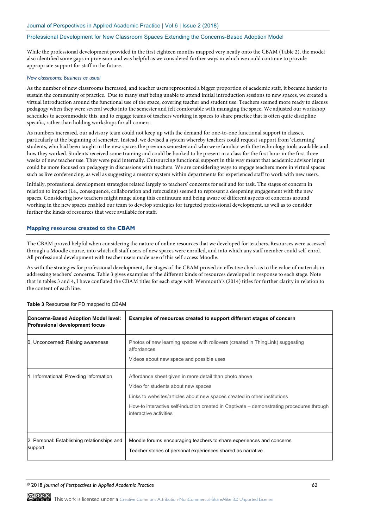While the professional development provided in the first eighteen months mapped very neatly onto the CBAM (Table 2), the model also identified some gaps in provision and was helpful as we considered further ways in which we could continue to provide appropriate support for staff in the future.

# *New classrooms: Business as usual*

As the number of new classrooms increased, and teacher users represented a bigger proportion of academic staff, it became harder to sustain the community of practice. Due to many staff being unable to attend initial introduction sessions to new spaces, we created a virtual introduction around the functional use of the space, covering teacher and student use. Teachers seemed more ready to discuss pedagogy when they were several weeks into the semester and felt comfortable with managing the space. We adjusted our workshop schedules to accommodate this, and to engage teams of teachers working in spaces to share practice that is often quite discipline specific, rather than holding workshops for all-comers.

As numbers increased, our advisory team could not keep up with the demand for one-to-one functional support in classes, particularly at the beginning of semester. Instead, we devised a system whereby teachers could request support from 'eLearning' students, who had been taught in the new spaces the previous semester and who were familiar with the technology tools available and how they worked. Students received some training and could be booked to be present in a class for the first hour in the first three weeks of new teacher use. They were paid internally. Outsourcing functional support in this way meant that academic advisor input could be more focused on pedagogy in discussions with teachers. We are considering ways to engage teachers more in virtual spaces such as live conferencing, as well as suggesting a mentor system within departments for experienced staff to work with new users.

Initially, professional development strategies related largely to teachers' concerns for self and for task. The stages of concern in relation to impact (i.e., consequence, collaboration and refocusing) seemed to represent a deepening engagement with the new spaces. Considering how teachers might range along this continuum and being aware of different aspects of concerns around working in the new spaces enabled our team to develop strategies for targeted professional development, as well as to consider further the kinds of resources that were available for staff.

# **Mapping resources created to the CBAM**

The CBAM proved helpful when considering the nature of online resources that we developed for teachers. Resources were accessed through a Moodle course, into which all staff users of new spaces were enrolled, and into which any staff member could self-enrol. All professional development with teacher users made use of this self-access Moodle.

As with the strategies for professional development, the stages of the CBAM proved an effective check as to the value of materials in addressing teachers' concerns. Table 3 gives examples of the different kinds of resources developed in response to each stage. Note that in tables 3 and 4, I have conflated the CBAM titles for each stage with Wenmouth's (2014) titles for further clarity in relation to the content of each line.

| <b>Concerns-Based Adoption Model level:</b><br><b>Professional development focus</b> | Examples of resources created to support different stages of concern                                                                                                                                                                                                                              |
|--------------------------------------------------------------------------------------|---------------------------------------------------------------------------------------------------------------------------------------------------------------------------------------------------------------------------------------------------------------------------------------------------|
| 0. Unconcerned: Raising awareness                                                    | Photos of new learning spaces with rollovers (created in ThingLink) suggesting<br>affordances<br>Videos about new space and possible uses                                                                                                                                                         |
| 1. Informational: Providing information                                              | Affordance sheet given in more detail than photo above<br>Video for students about new spaces<br>Links to websites/articles about new spaces created in other institutions<br>How-to interactive self-induction created in Captivate – demonstrating procedures through<br>interactive activities |
| 2. Personal: Establishing relationships and<br>support                               | Moodle forums encouraging teachers to share experiences and concerns<br>Teacher stories of personal experiences shared as narrative                                                                                                                                                               |

# **Table 3** Resources for PD mapped to CBAM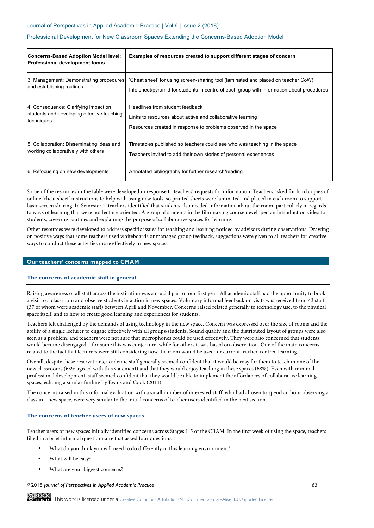| Concerns-Based Adoption Model level:<br><b>Professional development focus</b> | Examples of resources created to support different stages of concern                      |
|-------------------------------------------------------------------------------|-------------------------------------------------------------------------------------------|
| 3. Management: Demonstrating procedures                                       | 'Cheat sheet' for using screen-sharing tool (laminated and placed on teacher CoW)         |
| and establishing routines                                                     | Info sheet/pyramid for students in centre of each group with information about procedures |
| 4. Consequence: Clarifying impact on                                          | Headlines from student feedback                                                           |
| students and developing effective teaching                                    | Links to resources about active and collaborative learning                                |
| techniques                                                                    | Resources created in response to problems observed in the space                           |
| 5. Collaboration: Disseminating ideas and                                     | Timetables published so teachers could see who was teaching in the space                  |
| working collaboratively with others                                           | Teachers invited to add their own stories of personal experiences                         |
| 6. Refocusing on new developments                                             | Annotated bibliography for further research/reading                                       |

Some of the resources in the table were developed in response to teachers' requests for information. Teachers asked for hard copies of online 'cheat sheet' instructions to help with using new tools, so printed sheets were laminated and placed in each room to support basic screen sharing. In Semester 1, teachers identified that students also needed information about the room, particularly in regards to ways of learning that were not lecture-oriented. A group of students in the filmmaking course developed an introduction video for students, covering routines and explaining the purpose of collaborative spaces for learning.

Other resources were developed to address specific issues for teaching and learning noticed by advisors during observations. Drawing on positive ways that some teachers used whiteboards or managed group feedback, suggestions were given to all teachers for creative ways to conduct these activities more effectively in new spaces.

## **Our teachers' concerns mapped to CMAM**

## **The concerns of academic staff in general**

Raising awareness of all staff across the institution was a crucial part of our first year. All academic staff had the opportunity to book a visit to a classroom and observe students in action in new spaces. Voluntary informal feedback on visits was received from 43 staff (37 of whom were academic staff) between April and November. Concerns raised related generally to technology use, to the physical space itself, and to how to create good learning and experiences for students.

Teachers felt challenged by the demands of using technology in the new space. Concern was expressed over the size of rooms and the ability of a single lecturer to engage effectively with all groups/students. Sound quality and the distributed layout of groups were also seen as a problem, and teachers were not sure that microphones could be used effectively. They were also concerned that students would become disengaged – for some this was conjecture, while for others it was based on observation. One of the main concerns related to the fact that lecturers were still considering how the room would be used for current teacher-centred learning.

Overall, despite these reservations, academic staff generally seemed confident that it would be easy for them to teach in one of the new classrooms (63% agreed with this statement) and that they would enjoy teaching in these spaces (68%). Even with minimal professional development, staff seemed confident that they would be able to implement the affordances of collaborative learning spaces, echoing a similar finding by Evans and Cook (2014).

The concerns raised in this informal evaluation with a small number of interested staff, who had chosen to spend an hour observing a class in a new space, were very similar to the initial concerns of teacher users identified in the next section.

# **The concerns of teacher users of new spaces**

Teacher users of new spaces initially identified concerns across Stages 1-5 of the CBAM. In the first week of using the space, teachers filled in a brief informal questionnaire that asked four questions-:

- What do you think you will need to do differently in this learning environment?
- What will be easy?
- What are your biggest concerns?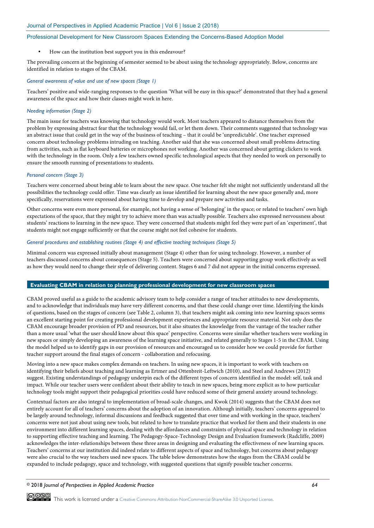• How can the institution best support you in this endeavour?

The prevailing concern at the beginning of semester seemed to be about using the technology appropriately. Below, concerns are identified in relation to stages of the CBAM.

# *General awareness of value and use of new spaces (Stage 1)*

Teachers' positive and wide-ranging responses to the question 'What will be easy in this space?' demonstrated that they had a general awareness of the space and how their classes might work in here.

# *Needing information (Stage 2)*

The main issue for teachers was knowing that technology would work. Most teachers appeared to distance themselves from the problem by expressing abstract fear that the technology would fail, or let them down. Their comments suggested that technology was an abstract issue that could get in the way of the business of teaching – that it could be 'unpredictable'. One teacher expressed concern about technology problems intruding on teaching. Another said that she was concerned about small problems detracting from activities, such as flat keyboard batteries or microphones not working. Another was concerned about getting clickers to work with the technology in the room. Only a few teachers owned specific technological aspects that they needed to work on personally to ensure the smooth running of presentations to students.

# *Personal concern (Stage 3)*

Teachers were concerned about being able to learn about the new space. One teacher felt she might not sufficiently understand all the possibilities the technology could offer. Time was clearly an issue identified for learning about the new space generally and, more specifically, reservations were expressed about having time to develop and prepare new activities and tasks.

Other concerns were even more personal, for example, not having a sense of 'belonging' in the space; or related to teachers' own high expectations of the space, that they might try to achieve more than was actually possible. Teachers also expressed nervousness about students' reactions to learning in the new space. They were concerned that students might feel they were part of an 'experiment', that students might not engage sufficiently or that the course might not feel cohesive for students.

## *General procedures and establishing routines (Stage 4) and effective teaching techniques (Stage 5)*

Minimal concern was expressed initially about management (Stage 4) other than for using technology. However, a number of teachers discussed concerns about consequences (Stage 5). Teachers were concerned about supporting group work effectively as well as how they would need to change their style of delivering content. Stages 6 and 7 did not appear in the initial concerns expressed.

# **Evaluating CBAM in relation to planning professional development for new classroom spaces**

CBAM proved useful as a guide to the academic advisory team to help consider a range of teacher attitudes to new developments, and to acknowledge that individuals may have very different concerns, and that these could change over time. Identifying the kinds of questions, based on the stages of concern (see Table 2, column 3), that teachers might ask coming into new learning spaces seems an excellent starting point for creating professional development experiences and appropriate resource material. Not only does the CBAM encourage broader provision of PD and resources, but it also situates the knowledge from the vantage of the teacher rather than a more usual 'what the user should know about this space' perspective. Concerns were similar whether teachers were working in new spaces or simply developing an awareness of the learning space initiative, and related generally to Stages 1-5 in the CBAM. Using the model helped us to identify gaps in our provision of resources and encouraged us to consider how we could provide for further teacher support around the final stages of concern - collaboration and refocusing.

Moving into a new space makes complex demands on teachers. In using new spaces, it is important to work with teachers on identifying their beliefs about teaching and learning as Ertmer and Ottenbreit-Leftwich (2010), and Steel and Andrews (2012) suggest. Existing understandings of pedagogy underpin each of the different types of concern identified in the model: self, task and impact. While our teacher users were confident about their ability to teach in new spaces, being more explicit as to how particular technology tools might support their pedagogical priorities could have reduced some of their general anxiety around technology.

Contextual factors are also integral to implementation of broad-scale changes, and Kwok (2014) suggests that the CBAM does not entirely account for all of teachers' concerns about the adoption of an innovation. Although initially, teachers' concerns appeared to be largely around technology, informal discussions and feedback suggested that over time and with working in the space, teachers' concerns were not just about using new tools, but related to how to translate practice that worked for them and their students in one environment into different learning spaces, dealing with the affordances and constraints of physical space and technology in relation to supporting effective teaching and learning. The Pedagogy-Space-Technology Design and Evaluation framework (Radcliffe, 2009) acknowledges the inter-relationships between these three areas in designing and evaluating the effectiveness of new learning spaces. Teachers' concerns at our institution did indeed relate to different aspects of space and technology, but concerns about pedagogy were also crucial to the way teachers used new spaces. The table below demonstrates how the stages from the CBAM could be expanded to include pedagogy, space and technology, with suggested questions that signify possible teacher concerns.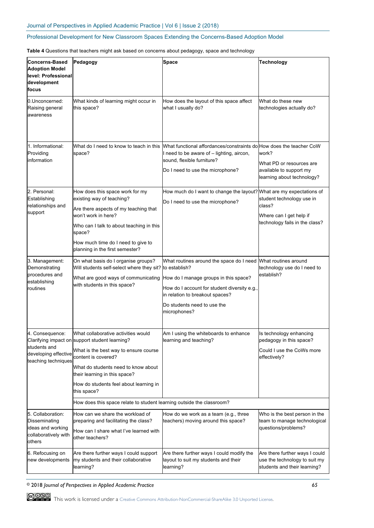**Table 4** Questions that teachers might ask based on concerns about pedagogy, space and technology

| <b>Concerns-Based</b><br><b>Adoption Model</b><br>level: Professional<br>development<br>focus | Pedagogy                                                                                                                                                                                                                                                                                                                                                        | <b>Space</b>                                                                                                                                                                                                                        | <b>Technology</b>                                                                                |
|-----------------------------------------------------------------------------------------------|-----------------------------------------------------------------------------------------------------------------------------------------------------------------------------------------------------------------------------------------------------------------------------------------------------------------------------------------------------------------|-------------------------------------------------------------------------------------------------------------------------------------------------------------------------------------------------------------------------------------|--------------------------------------------------------------------------------------------------|
| 0.Unconcerned:<br>Raising general<br>awareness                                                | What kinds of learning might occur in<br>this space?                                                                                                                                                                                                                                                                                                            | How does the layout of this space affect<br>what I usually do?                                                                                                                                                                      | What do these new<br>technologies actually do?                                                   |
| 1. Informational:<br>Providing<br>linformation                                                | What do I need to know to teach in this<br>space?                                                                                                                                                                                                                                                                                                               | What functional affordances/constraints dolHow does the teacher CoW<br>I need to be aware of - lighting, aircon,<br>sound, flexible furniture?<br>Do I need to use the microphone?                                                  | work?<br>What PD or resources are<br>available to support my<br>learning about technology?       |
| 2. Personal:<br>Establishing<br>relationships and<br>support                                  | How does this space work for my<br>existing way of teaching?<br>Are there aspects of my teaching that<br>won't work in here?<br>Who can I talk to about teaching in this<br>space?<br>How much time do I need to give to<br>planning in the first semester?                                                                                                     | How much do I want to change the layout? What are my expectations of<br>Do I need to use the microphone?                                                                                                                            | student technology use in<br>class?<br>Where can I get help if<br>technology fails in the class? |
| 3. Management:<br>Demonstrating<br>procedures and<br>establishing<br>routines                 | On what basis do I organise groups?<br>Will students self-select where they sit?<br>What are good ways of communicating<br>with students in this space?                                                                                                                                                                                                         | What routines around the space do I need<br>to establish?<br>How do I manage groups in this space?<br>How do I account for student diversity e.g.<br>in relation to breakout spaces?<br>Do students need to use the<br>microphones? | What routines around<br>technology use do I need to<br>establish?                                |
| 4. Consequence:<br>students and<br>developing effective<br>teaching techniques                | What collaborative activities would<br>Clarifying impact on support student learning?<br>What is the best way to ensure course<br>content is covered?<br>What do students need to know about<br>their learning in this space?<br>How do students feel about learning in<br>this space?<br>How does this space relate to student learning outside the classroom? | Am I using the whiteboards to enhance<br>learning and teaching?                                                                                                                                                                     | Is technology enhancing<br>pedagogy in this space?<br>Could I use the CoWs more<br>effectively?  |
| 5. Collaboration:<br>Disseminating<br>ideas and working<br>collaboratively with<br>others     | How can we share the workload of<br>preparing and facilitating the class?<br>How can I share what I've learned with<br>other teachers?                                                                                                                                                                                                                          | How do we work as a team (e.g., three<br>teachers) moving around this space?                                                                                                                                                        | Who is the best person in the<br>team to manage technological<br>questions/problems?             |
| 6. Refocusing on<br>new developments                                                          | Are there further ways I could support<br>my students and their collaborative<br>learning?                                                                                                                                                                                                                                                                      | Are there further ways I could modify the<br>layout to suit my students and their<br>learning?                                                                                                                                      | Are there further ways I could<br>use the technology to suit my<br>students and their learning?  |

COOO This work is licensed under a Creative Commons Attribution-NonCommercial-ShareAlike 3.0 Unported License.